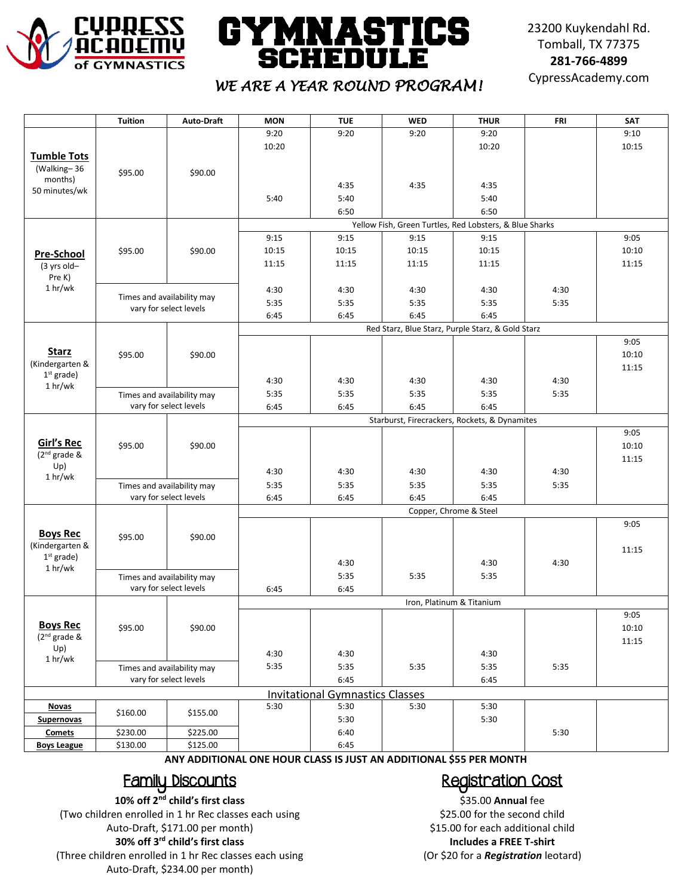

# **GYMNASTICS SCHEDULE**

23200 Kuykendahl Rd. Tomball, TX 77375 **281-766-4899**

## CypressAcademy.com *WE ARE A YEAR ROUND PROGRAM!*

|                                 | <b>Tuition</b>                                       | <b>Auto-Draft</b>                                    | <b>MON</b>                                              | <b>TUE</b> | <b>WED</b> | <b>THUR</b> | <b>FRI</b> | SAT   |  |  |  |
|---------------------------------|------------------------------------------------------|------------------------------------------------------|---------------------------------------------------------|------------|------------|-------------|------------|-------|--|--|--|
|                                 |                                                      |                                                      | 9:20                                                    | 9:20       | 9:20       | 9:20        |            | 9:10  |  |  |  |
|                                 |                                                      |                                                      | 10:20                                                   |            |            | 10:20       |            | 10:15 |  |  |  |
| <b>Tumble Tots</b>              |                                                      |                                                      |                                                         |            |            |             |            |       |  |  |  |
| (Walking-36                     | \$95.00                                              | \$90.00                                              |                                                         |            |            |             |            |       |  |  |  |
| months)<br>50 minutes/wk        |                                                      |                                                      |                                                         | 4:35       | 4:35       | 4:35        |            |       |  |  |  |
|                                 |                                                      |                                                      | 5:40                                                    | 5:40       |            | 5:40        |            |       |  |  |  |
|                                 |                                                      |                                                      |                                                         | 6:50       |            | 6:50        |            |       |  |  |  |
|                                 |                                                      | \$90.00                                              | Yellow Fish, Green Turtles, Red Lobsters, & Blue Sharks |            |            |             |            |       |  |  |  |
| <b>Pre-School</b>               | \$95.00                                              |                                                      | 9:15                                                    | 9:15       | 9:15       | 9:15        |            | 9:05  |  |  |  |
|                                 |                                                      |                                                      | 10:15                                                   | 10:15      | 10:15      | 10:15       |            | 10:10 |  |  |  |
| (3 yrs old-                     |                                                      |                                                      | 11:15                                                   | 11:15      | 11:15      | 11:15       |            | 11:15 |  |  |  |
| Pre K)                          |                                                      |                                                      |                                                         |            |            |             |            |       |  |  |  |
| 1 hr/wk                         |                                                      |                                                      | 4:30                                                    | 4:30       | 4:30       | 4:30        | 4:30       |       |  |  |  |
|                                 |                                                      | Times and availability may<br>vary for select levels | 5:35                                                    | 5:35       | 5:35       | 5:35        | 5:35       |       |  |  |  |
|                                 |                                                      |                                                      | 6:45                                                    | 6:45       | 6:45       | 6:45        |            |       |  |  |  |
|                                 | \$95.00                                              | \$90.00                                              | Red Starz, Blue Starz, Purple Starz, & Gold Starz       |            |            |             |            |       |  |  |  |
|                                 |                                                      |                                                      |                                                         |            |            |             |            | 9:05  |  |  |  |
| <b>Starz</b>                    |                                                      |                                                      |                                                         |            |            |             |            | 10:10 |  |  |  |
| (Kindergarten &                 |                                                      |                                                      |                                                         |            |            |             |            | 11:15 |  |  |  |
| $1st$ grade)<br>1 hr/wk         |                                                      |                                                      | 4:30                                                    | 4:30       | 4:30       | 4:30        | 4:30       |       |  |  |  |
|                                 |                                                      | Times and availability may                           | 5:35                                                    | 5:35       | 5:35       | 5:35        | 5:35       |       |  |  |  |
|                                 | vary for select levels                               |                                                      | 6:45                                                    | 6:45       | 6:45       | 6:45        |            |       |  |  |  |
|                                 |                                                      |                                                      | Starburst, Firecrackers, Rockets, & Dynamites           |            |            |             |            |       |  |  |  |
|                                 |                                                      |                                                      |                                                         |            |            |             |            | 9:05  |  |  |  |
| <b>Girl's Rec</b>               | \$95.00                                              | \$90.00                                              |                                                         |            |            |             |            | 10:10 |  |  |  |
| (2 <sup>nd</sup> grade &<br>Up) |                                                      |                                                      |                                                         |            |            |             |            | 11:15 |  |  |  |
| 1 hr/wk                         |                                                      |                                                      | 4:30                                                    | 4:30       | 4:30       | 4:30        | 4:30       |       |  |  |  |
|                                 | Times and availability may<br>vary for select levels |                                                      | 5:35                                                    | 5:35       | 5:35       | 5:35        | 5:35       |       |  |  |  |
|                                 |                                                      |                                                      | 6:45                                                    | 6:45       | 6:45       | 6:45        |            |       |  |  |  |
| <b>Boys Rec</b>                 | \$95.00                                              | \$90.00                                              | Copper, Chrome & Steel                                  |            |            |             |            |       |  |  |  |
|                                 |                                                      |                                                      |                                                         |            |            |             |            | 9:05  |  |  |  |
|                                 |                                                      |                                                      |                                                         |            |            |             |            |       |  |  |  |
| (Kindergarten &<br>$1st$ grade) |                                                      |                                                      |                                                         |            |            |             |            | 11:15 |  |  |  |
| 1 hr/wk                         |                                                      |                                                      |                                                         | 4:30       |            | 4:30        | 4:30       |       |  |  |  |
|                                 | Times and availability may                           |                                                      |                                                         | 5:35       | 5:35       | 5:35        |            |       |  |  |  |
|                                 | vary for select levels                               |                                                      | 6:45                                                    | 6:45       |            |             |            |       |  |  |  |
|                                 |                                                      |                                                      | Iron, Platinum & Titanium                               |            |            |             |            |       |  |  |  |
| <b>Boys Rec</b>                 |                                                      |                                                      |                                                         |            |            |             |            | 9:05  |  |  |  |
| (2 <sup>nd</sup> grade &        | \$95.00                                              | \$90.00                                              |                                                         |            |            |             |            | 10:10 |  |  |  |
| Up)                             |                                                      |                                                      |                                                         |            |            |             |            | 11:15 |  |  |  |
| 1 hr/wk                         |                                                      |                                                      | 4:30                                                    | 4:30       |            | 4:30        |            |       |  |  |  |
|                                 | Times and availability may<br>vary for select levels |                                                      | 5:35                                                    | 5:35       | 5:35       | 5:35        | 5:35       |       |  |  |  |
|                                 |                                                      |                                                      | 6:45<br>6:45                                            |            |            |             |            |       |  |  |  |
|                                 | <b>Invitational Gymnastics Classes</b>               |                                                      |                                                         |            |            |             |            |       |  |  |  |
| <u>Novas</u>                    | \$160.00                                             | \$155.00                                             | 5:30                                                    | 5:30       | 5:30       | 5:30        |            |       |  |  |  |
| <b>Supernovas</b>               |                                                      |                                                      |                                                         | 5:30       |            | 5:30        |            |       |  |  |  |
| Comets                          | \$230.00                                             | \$225.00                                             |                                                         | 6:40       |            |             | 5:30       |       |  |  |  |
| <b>Boys League</b>              | \$130.00                                             | \$125.00                                             |                                                         | 6:45       |            |             |            |       |  |  |  |

**ANY ADDITIONAL ONE HOUR CLASS IS JUST AN ADDITIONAL \$55 PER MONTH**

#### Family Discounts

**10% off 2nd child's first class** (Two children enrolled in 1 hr Rec classes each using Auto-Draft, \$171.00 per month) **30% off 3rd child's first class** (Three children enrolled in 1 hr Rec classes each using Auto-Draft, \$234.00 per month)

### Registration Cost

\$35.00 **Annual** fee \$25.00 for the second child \$15.00 for each additional child **Includes a FREE T-shirt** (Or \$20 for a *Registration* leotard)